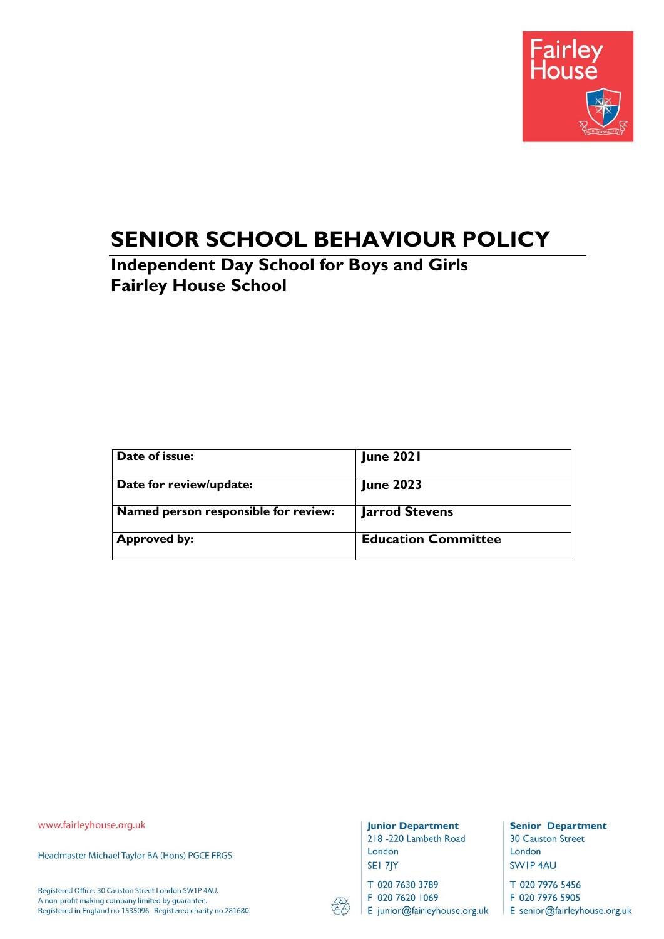

# **SENIOR SCHOOL BEHAVIOUR POLICY**

**Independent Day School for Boys and Girls Fairley House School**

| Date of issue:                       | <b>June 2021</b>           |
|--------------------------------------|----------------------------|
| Date for review/update:              | <b>June 2023</b>           |
| Named person responsible for review: | <b>Jarrod Stevens</b>      |
| <b>Approved by:</b>                  | <b>Education Committee</b> |

www.fairleyhouse.org.uk

Headmaster Michael Taylor BA (Hons) PGCE FRGS

Registered Office: 30 Causton Street London SW1P 4AU. A non-profit making company limited by guarantee. Registered in England no 1535096 Registered charity no 281680

#### **Junior Department**

218 -220 Lambeth Road London SEI 7JY

T 020 7630 3789

F 020 7620 1069

E junior@fairleyhouse.org.uk

**Senior Department 30 Causton Street** London SWIP 4AU

T 020 7976 5456

F 020 7976 5905 E senior@fairleyhouse.org.uk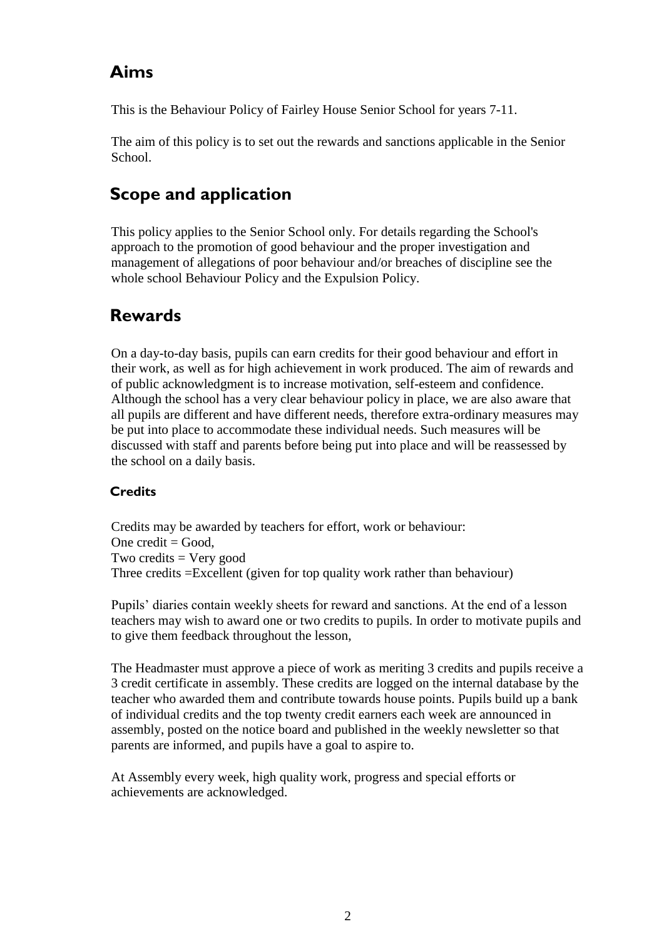### **Aims**

This is the Behaviour Policy of Fairley House Senior School for years 7-11.

The aim of this policy is to set out the rewards and sanctions applicable in the Senior School.

## **Scope and application**

This policy applies to the Senior School only. For details regarding the School's approach to the promotion of good behaviour and the proper investigation and management of allegations of poor behaviour and/or breaches of discipline see the whole school Behaviour Policy and the Expulsion Policy.

### **Rewards**

On a day-to-day basis, pupils can earn credits for their good behaviour and effort in their work, as well as for high achievement in work produced. The aim of rewards and of public acknowledgment is to increase motivation, self-esteem and confidence. Although the school has a very clear behaviour policy in place, we are also aware that all pupils are different and have different needs, therefore extra-ordinary measures may be put into place to accommodate these individual needs. Such measures will be discussed with staff and parents before being put into place and will be reassessed by the school on a daily basis.

### **Credits**

Credits may be awarded by teachers for effort, work or behaviour: One credit  $=$  Good, Two credits  $=$  Very good Three credits =Excellent (given for top quality work rather than behaviour)

Pupils' diaries contain weekly sheets for reward and sanctions. At the end of a lesson teachers may wish to award one or two credits to pupils. In order to motivate pupils and to give them feedback throughout the lesson,

The Headmaster must approve a piece of work as meriting 3 credits and pupils receive a 3 credit certificate in assembly. These credits are logged on the internal database by the teacher who awarded them and contribute towards house points. Pupils build up a bank of individual credits and the top twenty credit earners each week are announced in assembly, posted on the notice board and published in the weekly newsletter so that parents are informed, and pupils have a goal to aspire to.

At Assembly every week, high quality work, progress and special efforts or achievements are acknowledged.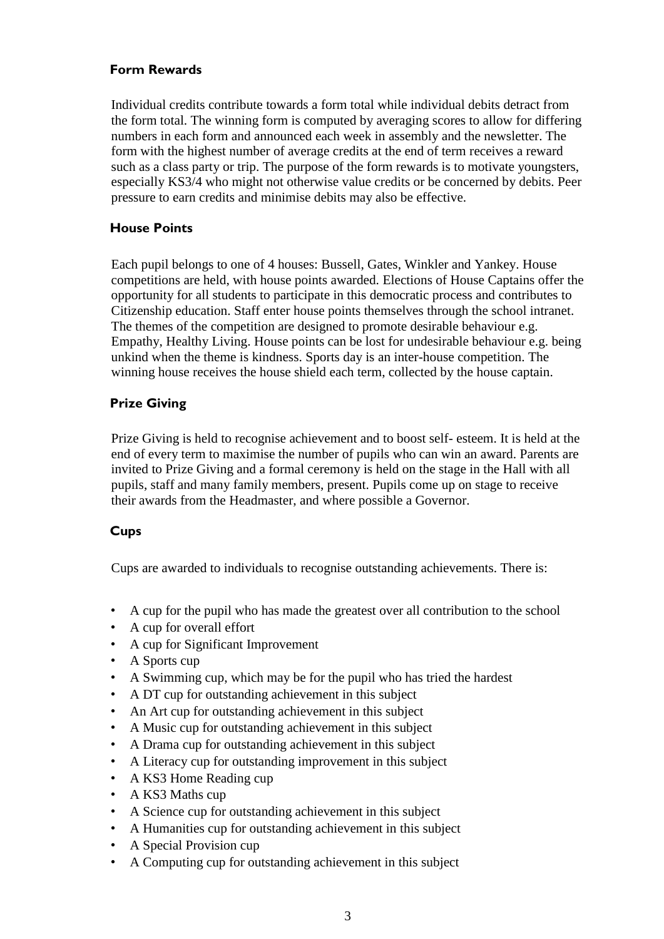#### **Form Rewards**

Individual credits contribute towards a form total while individual debits detract from the form total. The winning form is computed by averaging scores to allow for differing numbers in each form and announced each week in assembly and the newsletter. The form with the highest number of average credits at the end of term receives a reward such as a class party or trip. The purpose of the form rewards is to motivate youngsters, especially KS3/4 who might not otherwise value credits or be concerned by debits. Peer pressure to earn credits and minimise debits may also be effective.

#### **House Points**

Each pupil belongs to one of 4 houses: Bussell, Gates, Winkler and Yankey. House competitions are held, with house points awarded. Elections of House Captains offer the opportunity for all students to participate in this democratic process and contributes to Citizenship education. Staff enter house points themselves through the school intranet. The themes of the competition are designed to promote desirable behaviour e.g. Empathy, Healthy Living. House points can be lost for undesirable behaviour e.g. being unkind when the theme is kindness. Sports day is an inter-house competition. The winning house receives the house shield each term, collected by the house captain.

#### **Prize Giving**

Prize Giving is held to recognise achievement and to boost self- esteem. It is held at the end of every term to maximise the number of pupils who can win an award. Parents are invited to Prize Giving and a formal ceremony is held on the stage in the Hall with all pupils, staff and many family members, present. Pupils come up on stage to receive their awards from the Headmaster, and where possible a Governor.

#### **Cups**

Cups are awarded to individuals to recognise outstanding achievements. There is:

- A cup for the pupil who has made the greatest over all contribution to the school
- A cup for overall effort
- A cup for Significant Improvement
- A Sports cup
- A Swimming cup, which may be for the pupil who has tried the hardest
- A DT cup for outstanding achievement in this subject
- An Art cup for outstanding achievement in this subject
- A Music cup for outstanding achievement in this subject
- A Drama cup for outstanding achievement in this subject
- A Literacy cup for outstanding improvement in this subject
- A KS3 Home Reading cup
- A KS3 Maths cup
- A Science cup for outstanding achievement in this subject
- A Humanities cup for outstanding achievement in this subject
- A Special Provision cup
- A Computing cup for outstanding achievement in this subject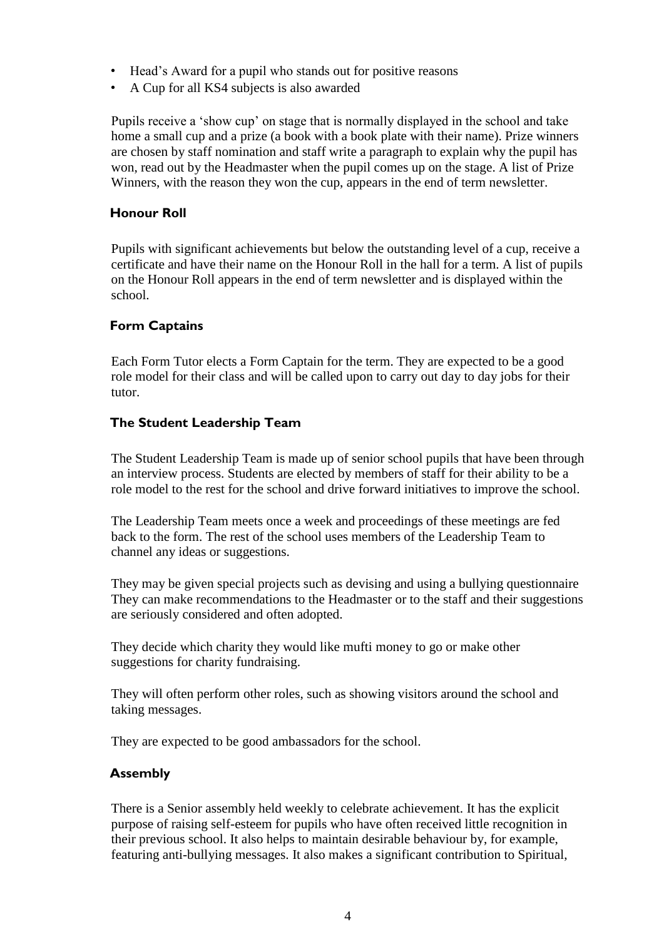- Head's Award for a pupil who stands out for positive reasons
- A Cup for all KS4 subjects is also awarded

Pupils receive a 'show cup' on stage that is normally displayed in the school and take home a small cup and a prize (a book with a book plate with their name). Prize winners are chosen by staff nomination and staff write a paragraph to explain why the pupil has won, read out by the Headmaster when the pupil comes up on the stage. A list of Prize Winners, with the reason they won the cup, appears in the end of term newsletter.

#### **Honour Roll**

Pupils with significant achievements but below the outstanding level of a cup, receive a certificate and have their name on the Honour Roll in the hall for a term. A list of pupils on the Honour Roll appears in the end of term newsletter and is displayed within the school.

#### **Form Captains**

Each Form Tutor elects a Form Captain for the term. They are expected to be a good role model for their class and will be called upon to carry out day to day jobs for their tutor.

#### **The Student Leadership Team**

The Student Leadership Team is made up of senior school pupils that have been through an interview process. Students are elected by members of staff for their ability to be a role model to the rest for the school and drive forward initiatives to improve the school.

The Leadership Team meets once a week and proceedings of these meetings are fed back to the form. The rest of the school uses members of the Leadership Team to channel any ideas or suggestions.

They may be given special projects such as devising and using a bullying questionnaire They can make recommendations to the Headmaster or to the staff and their suggestions are seriously considered and often adopted.

They decide which charity they would like mufti money to go or make other suggestions for charity fundraising.

They will often perform other roles, such as showing visitors around the school and taking messages.

They are expected to be good ambassadors for the school.

#### **Assembly**

There is a Senior assembly held weekly to celebrate achievement. It has the explicit purpose of raising self-esteem for pupils who have often received little recognition in their previous school. It also helps to maintain desirable behaviour by, for example, featuring anti-bullying messages. It also makes a significant contribution to Spiritual,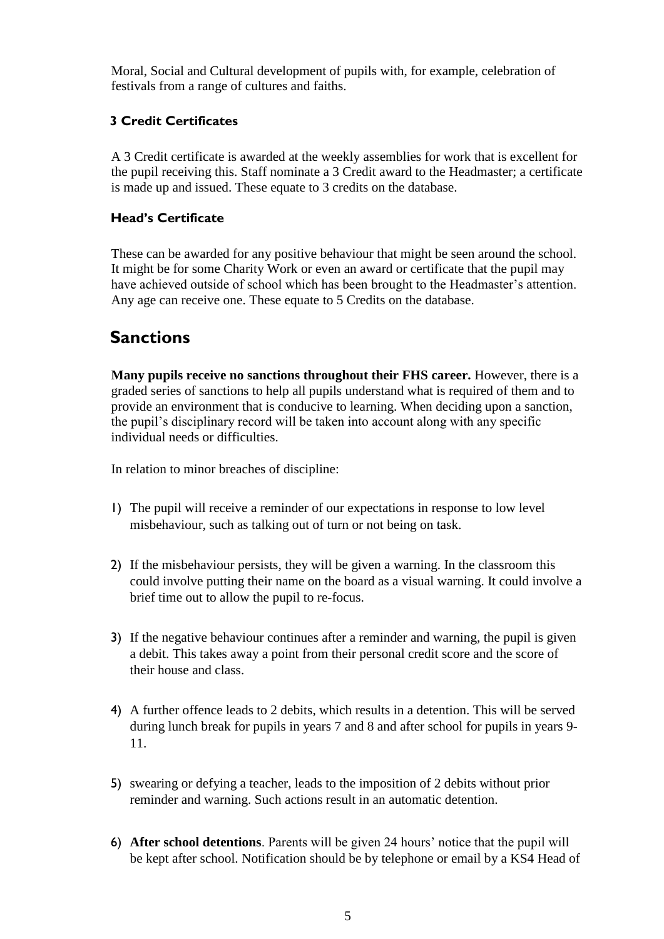Moral, Social and Cultural development of pupils with, for example, celebration of festivals from a range of cultures and faiths.

#### **3 Credit Certificates**

A 3 Credit certificate is awarded at the weekly assemblies for work that is excellent for the pupil receiving this. Staff nominate a 3 Credit award to the Headmaster; a certificate is made up and issued. These equate to 3 credits on the database.

#### **Head's Certificate**

These can be awarded for any positive behaviour that might be seen around the school. It might be for some Charity Work or even an award or certificate that the pupil may have achieved outside of school which has been brought to the Headmaster's attention. Any age can receive one. These equate to 5 Credits on the database.

### **Sanctions**

**Many pupils receive no sanctions throughout their FHS career.** However, there is a graded series of sanctions to help all pupils understand what is required of them and to provide an environment that is conducive to learning. When deciding upon a sanction, the pupil's disciplinary record will be taken into account along with any specific individual needs or difficulties.

In relation to minor breaches of discipline:

- 1) The pupil will receive a reminder of our expectations in response to low level misbehaviour, such as talking out of turn or not being on task.
- 2) If the misbehaviour persists, they will be given a warning. In the classroom this could involve putting their name on the board as a visual warning. It could involve a brief time out to allow the pupil to re-focus.
- 3) If the negative behaviour continues after a reminder and warning, the pupil is given a debit. This takes away a point from their personal credit score and the score of their house and class.
- 4) A further offence leads to 2 debits, which results in a detention. This will be served during lunch break for pupils in years 7 and 8 and after school for pupils in years 9- 11.
- 5) swearing or defying a teacher, leads to the imposition of 2 debits without prior reminder and warning. Such actions result in an automatic detention.
- 6) **After school detentions**. Parents will be given 24 hours' notice that the pupil will be kept after school. Notification should be by telephone or email by a KS4 Head of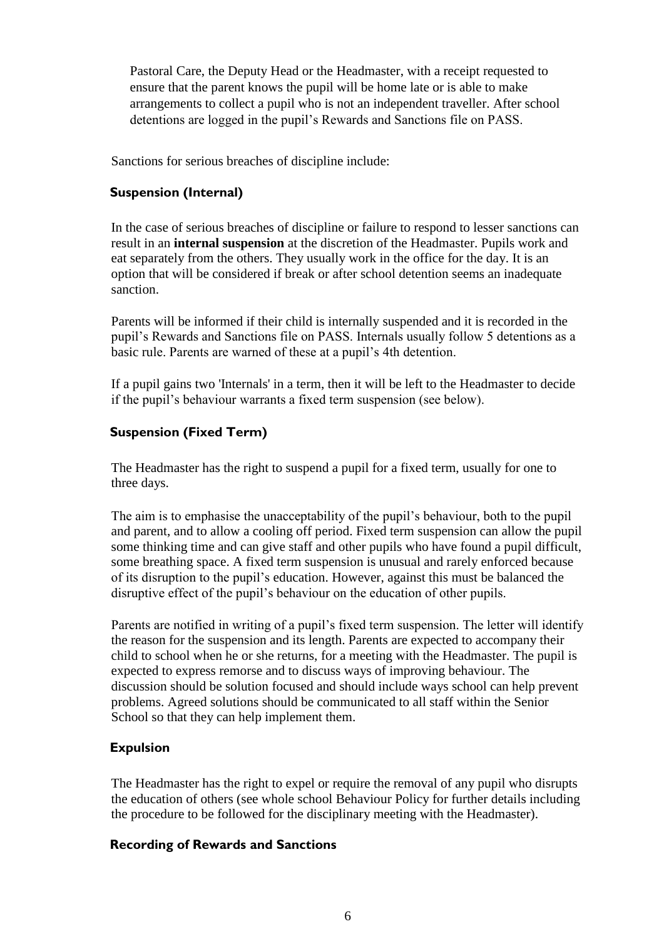Pastoral Care, the Deputy Head or the Headmaster, with a receipt requested to ensure that the parent knows the pupil will be home late or is able to make arrangements to collect a pupil who is not an independent traveller. After school detentions are logged in the pupil's Rewards and Sanctions file on PASS.

Sanctions for serious breaches of discipline include:

#### **Suspension (Internal)**

In the case of serious breaches of discipline or failure to respond to lesser sanctions can result in an **internal suspension** at the discretion of the Headmaster. Pupils work and eat separately from the others. They usually work in the office for the day. It is an option that will be considered if break or after school detention seems an inadequate sanction.

Parents will be informed if their child is internally suspended and it is recorded in the pupil's Rewards and Sanctions file on PASS. Internals usually follow 5 detentions as a basic rule. Parents are warned of these at a pupil's 4th detention.

If a pupil gains two 'Internals' in a term, then it will be left to the Headmaster to decide if the pupil's behaviour warrants a fixed term suspension (see below).

#### **Suspension (Fixed Term)**

The Headmaster has the right to suspend a pupil for a fixed term, usually for one to three days.

The aim is to emphasise the unacceptability of the pupil's behaviour, both to the pupil and parent, and to allow a cooling off period. Fixed term suspension can allow the pupil some thinking time and can give staff and other pupils who have found a pupil difficult, some breathing space. A fixed term suspension is unusual and rarely enforced because of its disruption to the pupil's education. However, against this must be balanced the disruptive effect of the pupil's behaviour on the education of other pupils.

Parents are notified in writing of a pupil's fixed term suspension. The letter will identify the reason for the suspension and its length. Parents are expected to accompany their child to school when he or she returns, for a meeting with the Headmaster. The pupil is expected to express remorse and to discuss ways of improving behaviour. The discussion should be solution focused and should include ways school can help prevent problems. Agreed solutions should be communicated to all staff within the Senior School so that they can help implement them.

#### **Expulsion**

The Headmaster has the right to expel or require the removal of any pupil who disrupts the education of others (see whole school Behaviour Policy for further details including the procedure to be followed for the disciplinary meeting with the Headmaster).

#### **Recording of Rewards and Sanctions**